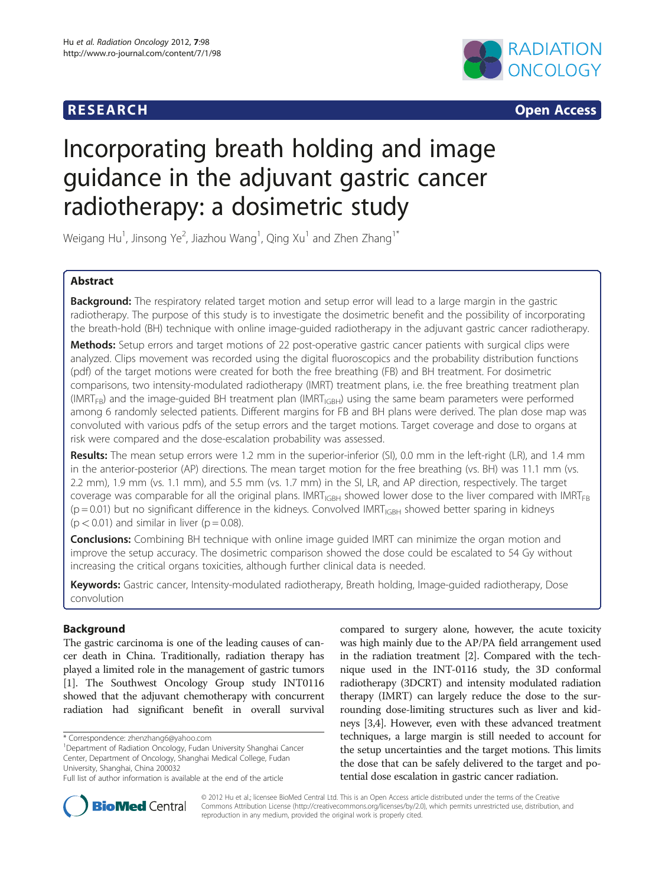

**RESEARCH RESEARCH CONSUMING ACCESS** 

# Incorporating breath holding and image guidance in the adjuvant gastric cancer radiotherapy: a dosimetric study

Weigang Hu<sup>1</sup>, Jinsong Ye<sup>2</sup>, Jiazhou Wang<sup>1</sup>, Qing Xu<sup>1</sup> and Zhen Zhang<sup>1\*</sup>

# Abstract

Background: The respiratory related target motion and setup error will lead to a large margin in the gastric radiotherapy. The purpose of this study is to investigate the dosimetric benefit and the possibility of incorporating the breath-hold (BH) technique with online image-guided radiotherapy in the adjuvant gastric cancer radiotherapy.

Methods: Setup errors and target motions of 22 post-operative gastric cancer patients with surgical clips were analyzed. Clips movement was recorded using the digital fluoroscopics and the probability distribution functions (pdf) of the target motions were created for both the free breathing (FB) and BH treatment. For dosimetric comparisons, two intensity-modulated radiotherapy (IMRT) treatment plans, i.e. the free breathing treatment plan (IMRT<sub>FB</sub>) and the image-guided BH treatment plan (IMRT<sub>IGBH</sub>) using the same beam parameters were performed among 6 randomly selected patients. Different margins for FB and BH plans were derived. The plan dose map was convoluted with various pdfs of the setup errors and the target motions. Target coverage and dose to organs at risk were compared and the dose-escalation probability was assessed.

Results: The mean setup errors were 1.2 mm in the superior-inferior (SI), 0.0 mm in the left-right (LR), and 1.4 mm in the anterior-posterior (AP) directions. The mean target motion for the free breathing (vs. BH) was 11.1 mm (vs. 2.2 mm), 1.9 mm (vs. 1.1 mm), and 5.5 mm (vs. 1.7 mm) in the SI, LR, and AP direction, respectively. The target coverage was comparable for all the original plans. IMRT<sub>IGBH</sub> showed lower dose to the liver compared with IMRT<sub>FB</sub>  $(p=0.01)$  but no significant difference in the kidneys. Convolved IMRT<sub>IGBH</sub> showed better sparing in kidneys  $(p < 0.01)$  and similar in liver  $(p = 0.08)$ .

**Conclusions:** Combining BH technique with online image quided IMRT can minimize the organ motion and improve the setup accuracy. The dosimetric comparison showed the dose could be escalated to 54 Gy without increasing the critical organs toxicities, although further clinical data is needed.

Keywords: Gastric cancer, Intensity-modulated radiotherapy, Breath holding, Image-guided radiotherapy, Dose convolution

# Background

The gastric carcinoma is one of the leading causes of cancer death in China. Traditionally, radiation therapy has played a limited role in the management of gastric tumors [[1\]](#page-7-0). The Southwest Oncology Group study INT0116 showed that the adjuvant chemotherapy with concurrent radiation had significant benefit in overall survival

compared to surgery alone, however, the acute toxicity was high mainly due to the AP/PA field arrangement used in the radiation treatment [\[2](#page-7-0)]. Compared with the technique used in the INT-0116 study, the 3D conformal radiotherapy (3DCRT) and intensity modulated radiation therapy (IMRT) can largely reduce the dose to the surrounding dose-limiting structures such as liver and kidneys [\[3,4\]](#page-7-0). However, even with these advanced treatment techniques, a large margin is still needed to account for the setup uncertainties and the target motions. This limits the dose that can be safely delivered to the target and potential dose escalation in gastric cancer radiation.



© 2012 Hu et al.; licensee BioMed Central Ltd. This is an Open Access article distributed under the terms of the Creative Commons Attribution License [\(http://creativecommons.org/licenses/by/2.0\)](http://creativecommons.org/licenses/by/2.0), which permits unrestricted use, distribution, and reproduction in any medium, provided the original work is properly cited.

<sup>\*</sup> Correspondence: [zhenzhang6@yahoo.com](mailto:zhenzhang6@yahoo.com) <sup>1</sup>

Department of Radiation Oncology, Fudan University Shanghai Cancer Center, Department of Oncology, Shanghai Medical College, Fudan University, Shanghai, China 200032

Full list of author information is available at the end of the article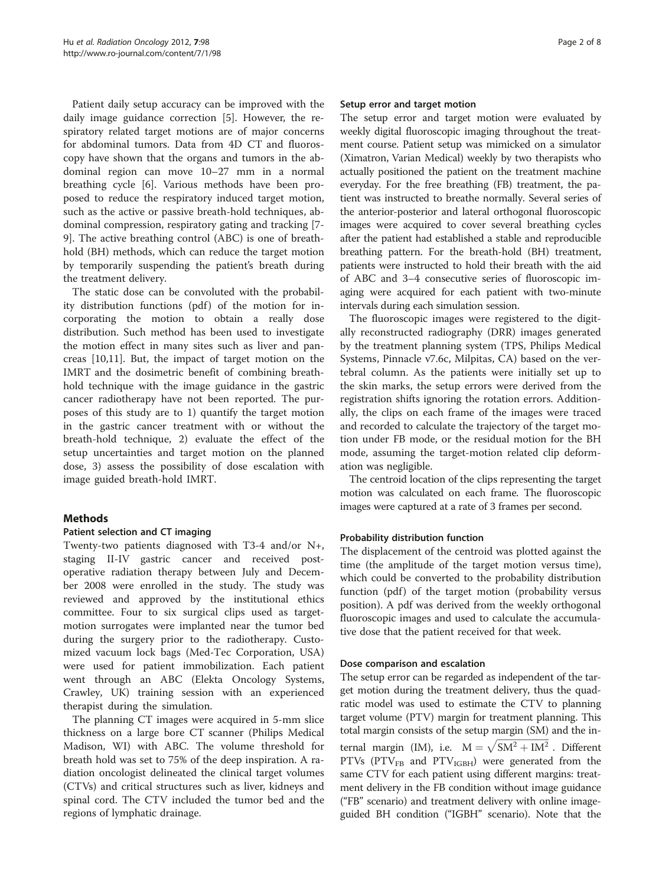Patient daily setup accuracy can be improved with the daily image guidance correction [\[5](#page-7-0)]. However, the respiratory related target motions are of major concerns for abdominal tumors. Data from 4D CT and fluoroscopy have shown that the organs and tumors in the abdominal region can move 10–27 mm in a normal breathing cycle [\[6](#page-7-0)]. Various methods have been proposed to reduce the respiratory induced target motion, such as the active or passive breath-hold techniques, abdominal compression, respiratory gating and tracking [\[7-](#page-7-0) [9\]](#page-7-0). The active breathing control (ABC) is one of breathhold (BH) methods, which can reduce the target motion by temporarily suspending the patient's breath during the treatment delivery.

The static dose can be convoluted with the probability distribution functions (pdf) of the motion for incorporating the motion to obtain a really dose distribution. Such method has been used to investigate the motion effect in many sites such as liver and pancreas [\[10,11](#page-7-0)]. But, the impact of target motion on the IMRT and the dosimetric benefit of combining breathhold technique with the image guidance in the gastric cancer radiotherapy have not been reported. The purposes of this study are to 1) quantify the target motion in the gastric cancer treatment with or without the breath-hold technique, 2) evaluate the effect of the setup uncertainties and target motion on the planned dose, 3) assess the possibility of dose escalation with image guided breath-hold IMRT.

# Methods

### Patient selection and CT imaging

Twenty-two patients diagnosed with T3-4 and/or N+, staging II-IV gastric cancer and received postoperative radiation therapy between July and December 2008 were enrolled in the study. The study was reviewed and approved by the institutional ethics committee. Four to six surgical clips used as targetmotion surrogates were implanted near the tumor bed during the surgery prior to the radiotherapy. Customized vacuum lock bags (Med-Tec Corporation, USA) were used for patient immobilization. Each patient went through an ABC (Elekta Oncology Systems, Crawley, UK) training session with an experienced therapist during the simulation.

The planning CT images were acquired in 5-mm slice thickness on a large bore CT scanner (Philips Medical Madison, WI) with ABC. The volume threshold for breath hold was set to 75% of the deep inspiration. A radiation oncologist delineated the clinical target volumes (CTVs) and critical structures such as liver, kidneys and spinal cord. The CTV included the tumor bed and the regions of lymphatic drainage.

#### Setup error and target motion

The setup error and target motion were evaluated by weekly digital fluoroscopic imaging throughout the treatment course. Patient setup was mimicked on a simulator (Ximatron, Varian Medical) weekly by two therapists who actually positioned the patient on the treatment machine everyday. For the free breathing (FB) treatment, the patient was instructed to breathe normally. Several series of the anterior-posterior and lateral orthogonal fluoroscopic images were acquired to cover several breathing cycles after the patient had established a stable and reproducible breathing pattern. For the breath-hold (BH) treatment, patients were instructed to hold their breath with the aid of ABC and 3–4 consecutive series of fluoroscopic imaging were acquired for each patient with two-minute intervals during each simulation session.

The fluoroscopic images were registered to the digitally reconstructed radiography (DRR) images generated by the treatment planning system (TPS, Philips Medical Systems, Pinnacle v7.6c, Milpitas, CA) based on the vertebral column. As the patients were initially set up to the skin marks, the setup errors were derived from the registration shifts ignoring the rotation errors. Additionally, the clips on each frame of the images were traced and recorded to calculate the trajectory of the target motion under FB mode, or the residual motion for the BH mode, assuming the target-motion related clip deformation was negligible.

The centroid location of the clips representing the target motion was calculated on each frame. The fluoroscopic images were captured at a rate of 3 frames per second.

#### Probability distribution function

The displacement of the centroid was plotted against the time (the amplitude of the target motion versus time), which could be converted to the probability distribution function (pdf) of the target motion (probability versus position). A pdf was derived from the weekly orthogonal fluoroscopic images and used to calculate the accumulative dose that the patient received for that week.

#### Dose comparison and escalation

The setup error can be regarded as independent of the target motion during the treatment delivery, thus the quadratic model was used to estimate the CTV to planning target volume (PTV) margin for treatment planning. This total margin consists of the setup margin (SM) and the internal margin (IM), i.e.  $M = \sqrt{SM^2 + IM^2}$ . Different PTVs (PTV<sub>FB</sub> and PTV<sub>IGBH</sub>) were generated from the same CTV for each patient using different margins: treatment delivery in the FB condition without image guidance ("FB" scenario) and treatment delivery with online imageguided BH condition ("IGBH" scenario). Note that the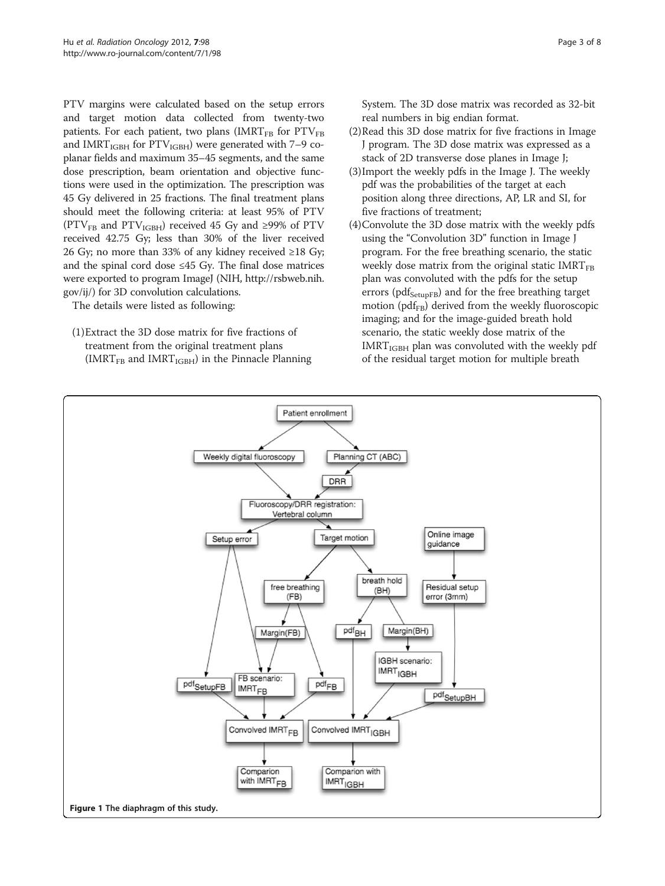<span id="page-2-0"></span>PTV margins were calculated based on the setup errors and target motion data collected from twenty-two patients. For each patient, two plans ( $IMRT_{FB}$  for  $PTV_{FB}$ and IMRT $_{IGBH}$  for PTV $_{IGBH}$ ) were generated with 7-9 coplanar fields and maximum 35–45 segments, and the same dose prescription, beam orientation and objective functions were used in the optimization. The prescription was 45 Gy delivered in 25 fractions. The final treatment plans should meet the following criteria: at least 95% of PTV (PTV<sub>FB</sub> and PTV<sub>IGBH</sub>) received 45 Gy and ≥99% of PTV received 42.75 Gy; less than 30% of the liver received 26 Gy; no more than 33% of any kidney received ≥18 Gy; and the spinal cord dose  $\leq 45$  Gy. The final dose matrices were exported to program ImageJ (NIH, [http://rsbweb.nih.](http://rsbweb.nih.gov/ij/) [gov/ij/](http://rsbweb.nih.gov/ij/)) for 3D convolution calculations.

The details were listed as following:

(1)Extract the 3D dose matrix for five fractions of treatment from the original treatment plans (IMRT<sub>FB</sub> and IMRT<sub>IGBH</sub>) in the Pinnacle Planning System. The 3D dose matrix was recorded as 32-bit real numbers in big endian format.

- (2)Read this 3D dose matrix for five fractions in Image J program. The 3D dose matrix was expressed as a stack of 2D transverse dose planes in Image J;
- (3)Import the weekly pdfs in the Image J. The weekly pdf was the probabilities of the target at each position along three directions, AP, LR and SI, for five fractions of treatment;
- (4)Convolute the 3D dose matrix with the weekly pdfs using the "Convolution 3D" function in Image J program. For the free breathing scenario, the static weekly dose matrix from the original static IMRT $_{FB}$ plan was convoluted with the pdfs for the setup errors ( $pdf<sub>SetunFB</sub>$ ) and for the free breathing target motion ( $pdf_{FB}$ ) derived from the weekly fluoroscopic imaging; and for the image-guided breath hold scenario, the static weekly dose matrix of the  $IMRT_{IGBH}$  plan was convoluted with the weekly pdf of the residual target motion for multiple breath

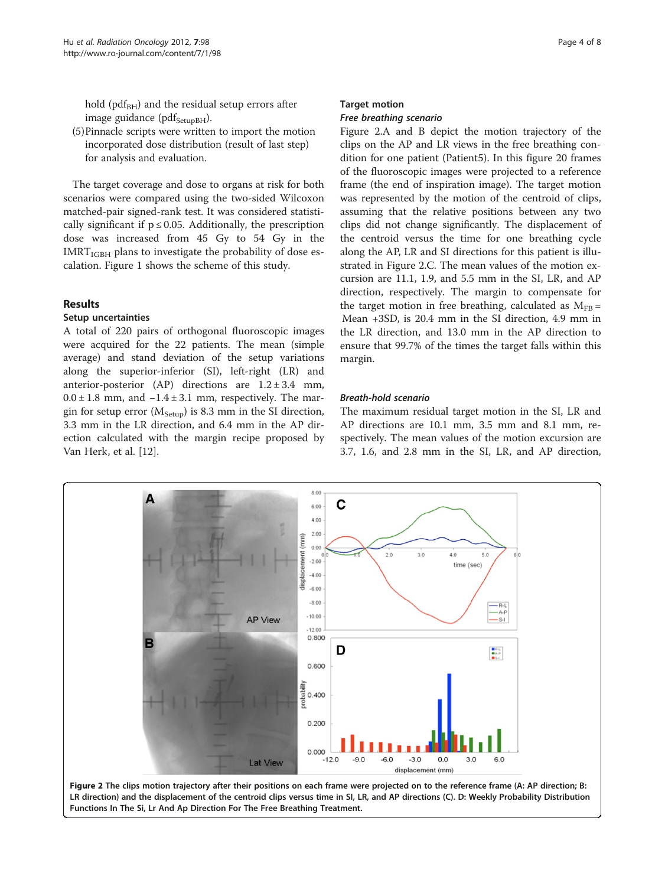<span id="page-3-0"></span>hold ( $pdf_{BH}$ ) and the residual setup errors after image guidance (pdf<sub>SetupBH</sub>).

(5)Pinnacle scripts were written to import the motion incorporated dose distribution (result of last step) for analysis and evaluation.

The target coverage and dose to organs at risk for both scenarios were compared using the two-sided Wilcoxon matched-pair signed-rank test. It was considered statistically significant if  $p \le 0.05$ . Additionally, the prescription dose was increased from 45 Gy to 54 Gy in the  $IMRT_{IGBH}$  plans to investigate the probability of dose escalation. Figure [1](#page-2-0) shows the scheme of this study.

# Results

# Setup uncertainties

A total of 220 pairs of orthogonal fluoroscopic images were acquired for the 22 patients. The mean (simple average) and stand deviation of the setup variations along the superior-inferior (SI), left-right (LR) and anterior-posterior (AP) directions are  $1.2 \pm 3.4$  mm,  $0.0 \pm 1.8$  mm, and  $-1.4 \pm 3.1$  mm, respectively. The margin for setup error  $(M_{\text{Setup}})$  is 8.3 mm in the SI direction, 3.3 mm in the LR direction, and 6.4 mm in the AP direction calculated with the margin recipe proposed by Van Herk, et al. [\[12](#page-7-0)].

# Target motion

# Free breathing scenario

Figure 2.A and B depict the motion trajectory of the clips on the AP and LR views in the free breathing condition for one patient (Patient5). In this figure 20 frames of the fluoroscopic images were projected to a reference frame (the end of inspiration image). The target motion was represented by the motion of the centroid of clips, assuming that the relative positions between any two clips did not change significantly. The displacement of the centroid versus the time for one breathing cycle along the AP, LR and SI directions for this patient is illustrated in Figure 2.C. The mean values of the motion excursion are 11.1, 1.9, and 5.5 mm in the SI, LR, and AP direction, respectively. The margin to compensate for the target motion in free breathing, calculated as  $M_{FB} =$ Mean +3SD, is 20.4 mm in the SI direction, 4.9 mm in the LR direction, and 13.0 mm in the AP direction to ensure that 99.7% of the times the target falls within this margin.

# Breath-hold scenario

The maximum residual target motion in the SI, LR and AP directions are 10.1 mm, 3.5 mm and 8.1 mm, respectively. The mean values of the motion excursion are 3.7, 1.6, and 2.8 mm in the SI, LR, and AP direction,

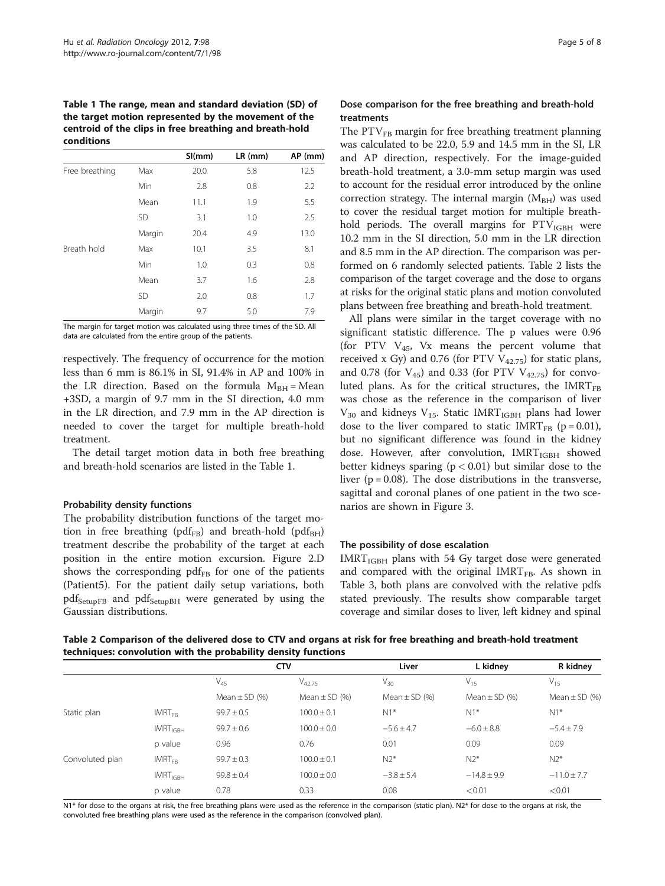Table 1 The range, mean and standard deviation (SD) of the target motion represented by the movement of the centroid of the clips in free breathing and breath-hold conditions

|                |           | SI(mm) | $LR$ (mm) | $AP$ (mm) |
|----------------|-----------|--------|-----------|-----------|
| Free breathing | Max       | 20.0   | 5.8       | 12.5      |
|                | Min       | 2.8    | 0.8       | 2.2       |
|                | Mean      | 11.1   | 1.9       | 5.5       |
|                | <b>SD</b> | 3.1    | 1.0       | 2.5       |
|                | Margin    | 20.4   | 4.9       | 13.0      |
| Breath hold    | Max       | 10.1   | 3.5       | 8.1       |
|                | Min       | 1.0    | 0.3       | 0.8       |
|                | Mean      | 3.7    | 1.6       | 2.8       |
|                | <b>SD</b> | 2.0    | 0.8       | 1.7       |
|                | Margin    | 9.7    | 5.0       | 7.9       |

The margin for target motion was calculated using three times of the SD. All data are calculated from the entire group of the patients.

respectively. The frequency of occurrence for the motion less than 6 mm is 86.1% in SI, 91.4% in AP and 100% in the LR direction. Based on the formula  $M_{BH} = Me$ an +3SD, a margin of 9.7 mm in the SI direction, 4.0 mm in the LR direction, and 7.9 mm in the AP direction is needed to cover the target for multiple breath-hold treatment.

The detail target motion data in both free breathing and breath-hold scenarios are listed in the Table 1.

#### Probability density functions

The probability distribution functions of the target motion in free breathing ( $pdf_{FB}$ ) and breath-hold ( $pdf_{BH}$ ) treatment describe the probability of the target at each position in the entire motion excursion. Figure [2](#page-3-0).D shows the corresponding  $pdf_{FB}$  for one of the patients (Patient5). For the patient daily setup variations, both  $pdf_{\text{SetupFB}}$  and  $pdf_{\text{SetupBH}}$  were generated by using the Gaussian distributions.

# Dose comparison for the free breathing and breath-hold treatments

The  $PTV_{FB}$  margin for free breathing treatment planning was calculated to be 22.0, 5.9 and 14.5 mm in the SI, LR and AP direction, respectively. For the image-guided breath-hold treatment, a 3.0-mm setup margin was used to account for the residual error introduced by the online correction strategy. The internal margin  $(M_{BH})$  was used to cover the residual target motion for multiple breathhold periods. The overall margins for PTV<sub>IGBH</sub> were 10.2 mm in the SI direction, 5.0 mm in the LR direction and 8.5 mm in the AP direction. The comparison was performed on 6 randomly selected patients. Table 2 lists the comparison of the target coverage and the dose to organs at risks for the original static plans and motion convoluted plans between free breathing and breath-hold treatment.

All plans were similar in the target coverage with no significant statistic difference. The p values were 0.96 (for PTV  $V_{45}$ , Vx means the percent volume that received x Gy) and 0.76 (for PTV  $V_{42.75}$ ) for static plans, and 0.78 (for  $V_{45}$ ) and 0.33 (for PTV  $V_{42.75}$ ) for convoluted plans. As for the critical structures, the IMRT $_{FB}$ was chose as the reference in the comparison of liver  $V_{30}$  and kidneys  $V_{15}$ . Static IMRT<sub>IGBH</sub> plans had lower dose to the liver compared to static  $IMRT_{FB}$  (p = 0.01), but no significant difference was found in the kidney dose. However, after convolution,  $IMRT_{IGBH}$  showed better kidneys sparing  $(p < 0.01)$  but similar dose to the liver  $(p = 0.08)$ . The dose distributions in the transverse, sagittal and coronal planes of one patient in the two scenarios are shown in Figure [3.](#page-5-0)

#### The possibility of dose escalation

 $IMRT_{IGBH}$  plans with 54 Gy target dose were generated and compared with the original IMRT<sub>FB</sub>. As shown in Table [3](#page-5-0), both plans are convolved with the relative pdfs stated previously. The results show comparable target coverage and similar doses to liver, left kidney and spinal

Table 2 Comparison of the delivered dose to CTV and organs at risk for free breathing and breath-hold treatment techniques: convolution with the probability density functions

|                 |                      | <b>CTV</b>           |                   | Liver                      | L kidney          | R kidney          |
|-----------------|----------------------|----------------------|-------------------|----------------------------|-------------------|-------------------|
|                 |                      | $V_{45}$             | $V_{42.75}$       | $\mathsf{V}_{\mathsf{30}}$ | $V_{15}$          | $V_{15}$          |
|                 |                      | Mean $\pm$ SD $(\%)$ | Mean $\pm$ SD (%) | Mean $\pm$ SD (%)          | Mean $\pm$ SD (%) | Mean $\pm$ SD (%) |
| Static plan     | IMRT <sub>FR</sub>   | $99.7 \pm 0.5$       | $100.0 \pm 0.1$   | $N1*$                      | $N1*$             | $N1*$             |
|                 | IMRT <sub>IGBH</sub> | $99.7 \pm 0.6$       | $100.0 \pm 0.0$   | $-5.6 \pm 4.7$             | $-6.0 \pm 8.8$    | $-5.4 \pm 7.9$    |
|                 | p value              | 0.96                 | 0.76              | 0.01                       | 0.09              | 0.09              |
| Convoluted plan | IMRT <sub>FR</sub>   | $99.7 \pm 0.3$       | $100.0 \pm 0.1$   | $N2*$                      | $N2*$             | $N2*$             |
|                 | IMRT <sub>IGBH</sub> | $99.8 \pm 0.4$       | $100.0 \pm 0.0$   | $-3.8 \pm 5.4$             | $-14.8 + 9.9$     | $-11.0 \pm 7.7$   |
|                 | p value              | 0.78                 | 0.33              | 0.08                       | < 0.01            | < 0.01            |

N1<sup>\*</sup> for dose to the organs at risk, the free breathing plans were used as the reference in the comparison (static plan). N2<sup>\*</sup> for dose to the organs at risk, the convoluted free breathing plans were used as the reference in the comparison (convolved plan).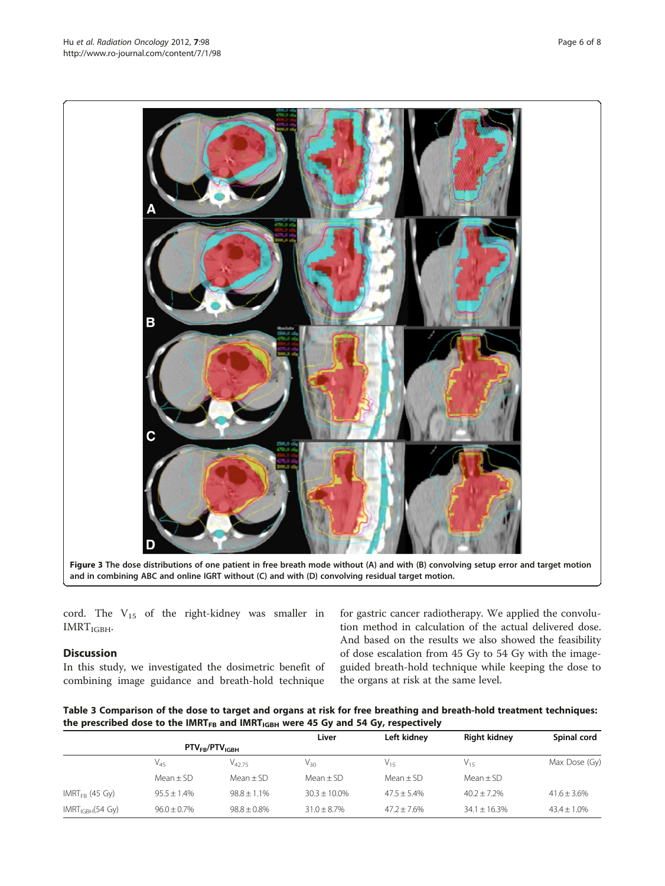<span id="page-5-0"></span>

cord. The  $V_{15}$  of the right-kidney was smaller in  $IMRT_{IGBH}$ 

# Discussion

In this study, we investigated the dosimetric benefit of combining image guidance and breath-hold technique

for gastric cancer radiotherapy. We applied the convolution method in calculation of the actual delivered dose. And based on the results we also showed the feasibility of dose escalation from 45 Gy to 54 Gy with the imageguided breath-hold technique while keeping the dose to the organs at risk at the same level.

| Table 3 Comparison of the dose to target and organs at risk for free breathing and breath-hold treatment techniques: |
|----------------------------------------------------------------------------------------------------------------------|
| the prescribed dose to the IMRT $_{\sf FB}$ and IMRT $_{\sf IGBH}$ were 45 Gy and 54 Gy, respectively                |

|                              | PTV <sub>ER</sub> /PTV <sub>IGRH</sub> |                  | Liver            | Left kidney    | Right kidney   | Spinal cord      |
|------------------------------|----------------------------------------|------------------|------------------|----------------|----------------|------------------|
|                              | $V_{45}$                               | $V_{42.75}$      | $V_{30}$         | $V_{15}$       | $V_{15}$       | Max Dose (Gy)    |
|                              | $Mean + SD$                            | $Mean + SD$      | Mean $\pm$ SD    | $Mean + SD$    | Mean $\pm$ SD  |                  |
| $IMRT_{FR}$ (45 Gy)          | $95.5 + 1.4%$                          | $98.8 + 1.1\%$   | $30.3 + 10.0\%$  | $47.5 + 5.4\%$ | $40.2 + 7.2\%$ | $41.6 \pm 3.6\%$ |
| $IMRT_{IGBH}(54 \text{ Gy})$ | $96.0 \pm 0.7\%$                       | $98.8 \pm 0.8\%$ | $31.0 \pm 8.7\%$ | $47.2 + 7.6\%$ | $34.1 + 16.3%$ | $43.4 \pm 1.0\%$ |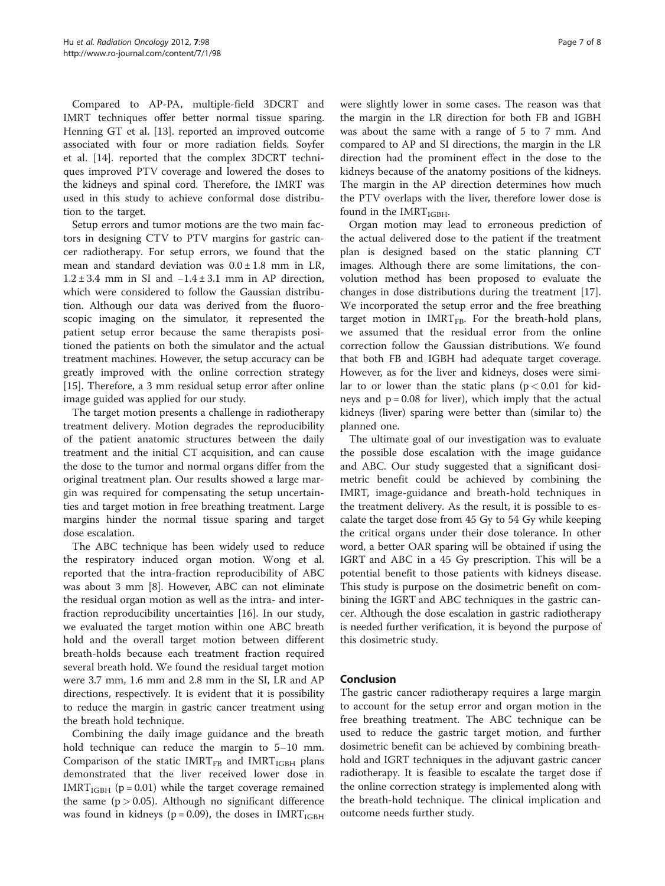Compared to AP-PA, multiple-field 3DCRT and IMRT techniques offer better normal tissue sparing. Henning GT et al. [[13\]](#page-7-0). reported an improved outcome associated with four or more radiation fields. Soyfer et al. [[14](#page-7-0)]. reported that the complex 3DCRT techniques improved PTV coverage and lowered the doses to the kidneys and spinal cord. Therefore, the IMRT was used in this study to achieve conformal dose distribution to the target.

Setup errors and tumor motions are the two main factors in designing CTV to PTV margins for gastric cancer radiotherapy. For setup errors, we found that the mean and standard deviation was  $0.0 \pm 1.8$  mm in LR,  $1.2 \pm 3.4$  mm in SI and  $-1.4 \pm 3.1$  mm in AP direction, which were considered to follow the Gaussian distribution. Although our data was derived from the fluoroscopic imaging on the simulator, it represented the patient setup error because the same therapists positioned the patients on both the simulator and the actual treatment machines. However, the setup accuracy can be greatly improved with the online correction strategy [[15\]](#page-7-0). Therefore, a 3 mm residual setup error after online image guided was applied for our study.

The target motion presents a challenge in radiotherapy treatment delivery. Motion degrades the reproducibility of the patient anatomic structures between the daily treatment and the initial CT acquisition, and can cause the dose to the tumor and normal organs differ from the original treatment plan. Our results showed a large margin was required for compensating the setup uncertainties and target motion in free breathing treatment. Large margins hinder the normal tissue sparing and target dose escalation.

The ABC technique has been widely used to reduce the respiratory induced organ motion. Wong et al. reported that the intra-fraction reproducibility of ABC was about 3 mm [\[8](#page-7-0)]. However, ABC can not eliminate the residual organ motion as well as the intra- and interfraction reproducibility uncertainties [\[16](#page-7-0)]. In our study, we evaluated the target motion within one ABC breath hold and the overall target motion between different breath-holds because each treatment fraction required several breath hold. We found the residual target motion were 3.7 mm, 1.6 mm and 2.8 mm in the SI, LR and AP directions, respectively. It is evident that it is possibility to reduce the margin in gastric cancer treatment using the breath hold technique.

Combining the daily image guidance and the breath hold technique can reduce the margin to 5–10 mm. Comparison of the static IMRT<sub>FB</sub> and IMRT<sub>IGBH</sub> plans demonstrated that the liver received lower dose in  $IMRT_{IGBH}$  (p = 0.01) while the target coverage remained the same  $(p > 0.05)$ . Although no significant difference was found in kidneys ( $p = 0.09$ ), the doses in IMRT<sub>IGBH</sub>

were slightly lower in some cases. The reason was that the margin in the LR direction for both FB and IGBH was about the same with a range of 5 to 7 mm. And compared to AP and SI directions, the margin in the LR direction had the prominent effect in the dose to the kidneys because of the anatomy positions of the kidneys. The margin in the AP direction determines how much the PTV overlaps with the liver, therefore lower dose is found in the  $IMRT<sub>IGBH</sub>$ .

Organ motion may lead to erroneous prediction of the actual delivered dose to the patient if the treatment plan is designed based on the static planning CT images. Although there are some limitations, the convolution method has been proposed to evaluate the changes in dose distributions during the treatment [\[17](#page-7-0)]. We incorporated the setup error and the free breathing target motion in  $IMRT_{FB}$ . For the breath-hold plans, we assumed that the residual error from the online correction follow the Gaussian distributions. We found that both FB and IGBH had adequate target coverage. However, as for the liver and kidneys, doses were similar to or lower than the static plans ( $p < 0.01$  for kidneys and  $p = 0.08$  for liver), which imply that the actual kidneys (liver) sparing were better than (similar to) the planned one.

The ultimate goal of our investigation was to evaluate the possible dose escalation with the image guidance and ABC. Our study suggested that a significant dosimetric benefit could be achieved by combining the IMRT, image-guidance and breath-hold techniques in the treatment delivery. As the result, it is possible to escalate the target dose from 45 Gy to 54 Gy while keeping the critical organs under their dose tolerance. In other word, a better OAR sparing will be obtained if using the IGRT and ABC in a 45 Gy prescription. This will be a potential benefit to those patients with kidneys disease. This study is purpose on the dosimetric benefit on combining the IGRT and ABC techniques in the gastric cancer. Although the dose escalation in gastric radiotherapy is needed further verification, it is beyond the purpose of this dosimetric study.

# Conclusion

The gastric cancer radiotherapy requires a large margin to account for the setup error and organ motion in the free breathing treatment. The ABC technique can be used to reduce the gastric target motion, and further dosimetric benefit can be achieved by combining breathhold and IGRT techniques in the adjuvant gastric cancer radiotherapy. It is feasible to escalate the target dose if the online correction strategy is implemented along with the breath-hold technique. The clinical implication and outcome needs further study.